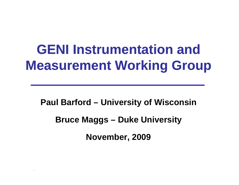# **GENI Instrumentation and Measurement Working Group**

**Paul Barford Barford – University of Wisconsin Bruce Maggs – Duke University November, 2009**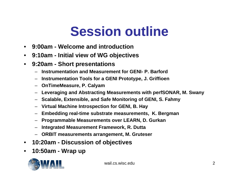## **Session outline**

- $\bullet$ **9:00am - Welcome and introduction**
- $\bullet$ **9:10am - Initial view of WG ob jectives**
- $\bullet$  **9:20am - Short presentations**
	- **Instrumentation and Measurement for GENI- P. Barford**
	- **Instrumentation Tools for a GENI Prototyp , e J. Griffioen**
	- **OnTimeMeasure, P. Calyam**
	- **Leveraging and Abstracting Measurements with perfSONAR, M. Swany**
	- **Scalable, Extensible, and Safe Monitoring of GENI, S. Fahmy**
	- **Virtual Machine Introspection for GENI, B. Hay**
	- **Embedding real-time substrate measurements, K. Bergman**
	- **Programmable Measurements over LEARN, D. Gurkan**
	- **Integrated Measurement Framework R Dutta Framework, R.**
	- **ORBIT measurements arrangement, M. Gruteser**
- $\bullet$ **10:20am - Discussion of objectives**
- $\bullet$ **10:50am Wrap up -**



wail.cs.wisc.edu 2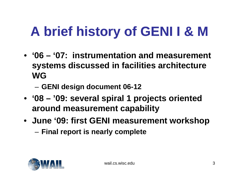### **A brief history of GENI I & M** the contract of the contract of the contract of the contract of the contract of the contract of the contract of

- **'06 – '07: instrumentation and measurement 07: systems discussed in facilities architecture WG**
	- **GENI design document 06-12**
- **'08 – '09: several spiral 1 projects oriented around measurement capability**
- **June '09: first GENI measurement workshop** –**Final report is nearly complete**

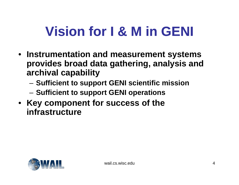### **Vision for I & M in GENI**

- **Instrumentation and measurement s ystems provides broad data gathering, analysis and archival capability**
	- Sufficient to support GENI scientific mission
	- $-$  Sufficient to support GENI operations
- **Key component for success of the the infrastructure**

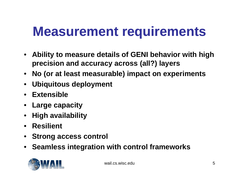## **Measurement requirements**

- Ability to measure details of GENI behavior with high **precision and accuracy across (all?) layers**
- **No (or at least measurable) impact on experiments**
- $\bullet$ **Ubiquitous deployment**
- **Extensible**
- **Large capacity**
- $\bullet$ **High availability**
- $\bullet$ **Resilient**
- **Strong access control**
- **Seamless inte gration with control frameworks**



wail.cs.wisc.edu 5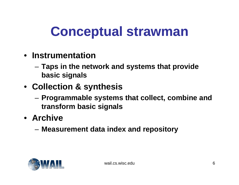## **Conceptual strawman**

- **Instrumentation**
	- – **Taps in the network and systems that provide basic signals**
- **Collection & synthesis**
	- **Programmable systems that collect, combine and t f bi i l trans form basic signals**
- **Archive**
	- $-$  Measurement data index and repository

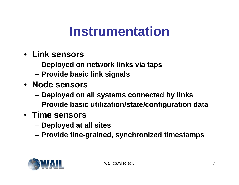### **Instrumentation**

- **Link sensors**
	- **Deployed on network links via taps**
	- –**Provide basic link signals**
- **Node sensors**
	- **Deployed on all systems connected by links**
	- **Provide basic utilization/state/configuration data**
- **Time sensors**
	- **Deployed at all sites**
	- **Provide fine-grained, synchronized timestamps**

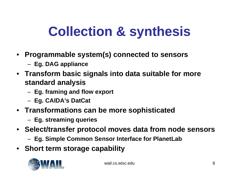# **Collection & synthesis**

- **Pro g y () rammable s ystem ( s ) connected to sensors**
	- **Eg. DAG appliance**
- **Transform basic signals into data suitable for more st dd l i tan dar d analysis**
	- **Eg. framing and flow export**
	- **Eg. CAIDA's DatCat**
- **Transformations can be more sophisticated**
	- **Eg. streaming queries**
- Select/transfer protocol moves data from node sensors
	- **Eg. Simple Common Sensor Interface for PlanetLab**
- **Short term storage capability**

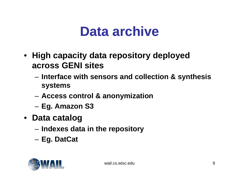### **Data archive**

- **High capacity data repository deployed across GENI sites**
	- – **Interface with sensors and collection & synthesis systems**
	- **Access control & anonymization**
	- **E A S3 g. Amazon**
- **Data catalog**
	- **I d d t i th it Indexes data in the repository**
	- **Eg. DatCat**

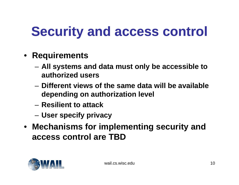# **Security and access control**

- **Requirements**
	- – **All systems and data must only be accessible to authorized users**
	- **Different views of the same data will be available depending on authorization level**
	- **Resilient to attack to**
	- –**User specify privacy**
- **Mechanisms for implementing security and access control are TBD**

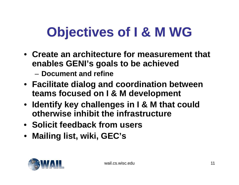#### **Objectives of I & M WG** the contract of the contract of the contract of the contract of the contract of the contract of the contract of

- **Create an architecture for measurement that enables GENI's goals to be achieved**
	- **Document and refine**
- **Facilitate dialog and coordination between teams focused on I & M development**
- **Identify key challenges in I & M that could otherwise inhibit the infrastructure**
- **Solicit feedback from users**
- **Mailing list, wiki, GEC's**

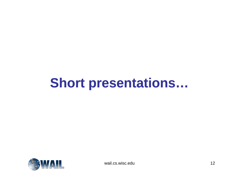#### **Short presentations …**



wail.cs.wisc.edu 12